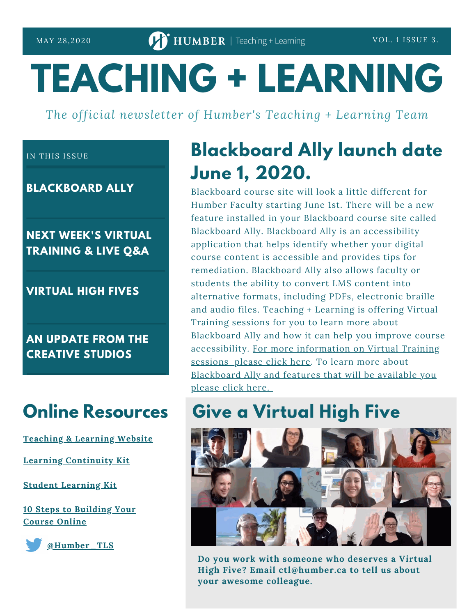# **TEACHING + LEARNING**

*The official newsletter of Humber's Teaching + Learning Team*

### IN THIS ISSUE

**BLACKBOARD ALLY**

### **NEXT WEEK'S VIRTUAL TRAINING & LIVE Q&A**

**VIRTUAL HIGH FIVES**

**AN UPDATE FROM THE CREATIVE STUDIOS**

# **Online Resources**

**[Teaching](https://humber.ca/teachingandlearning/) & Learning Website**

**Learning [Continuity](https://sites.google.com/view/learningcontinuitykit/home) Kit**

**Student [Learning](https://sites.google.com/view/studentlearningkit) Kit**

**10 Steps to [Building](https://view.genial.ly/5e8ce13874dd8c0e246ef382) Your Course Online**



**[@Humber\\_TLS](https://twitter.com/Humber_TLS)**

# **Blackboard Ally launch date June 1, 2020.**

Blackboard course site will look a little different for Humber Faculty starting June 1st. There will be a new feature installed in your Blackboard course site called Blackboard Ally. Blackboard Ally is an accessibility application that helps identify whether your digital course content is accessible and provides tips for remediation. Blackboard Ally also allows faculty or students the ability to convert LMS content into alternative formats, including PDFs, electronic braille and audio files. Teaching + Learning is offering Virtual Training sessions for you to learn more about Blackboard Ally and how it can help you improve course [accessibility.](https://sites.google.com/view/learningcontinuitykit/home/attend-virtual-training) For more information on Virtual Training sessions please click here. To learn more about [Blackboard](https://www.youtube.com/watch?time_continue=2&v=tOORcSEjtJU&feature=emb_title) Ally and features that will be available you please click here.

## **Give a Virtual High Five**



**Do you work with someone who deserves a Virtual High Five? Email ctl@humber.ca to tell us about your awesome colleague.**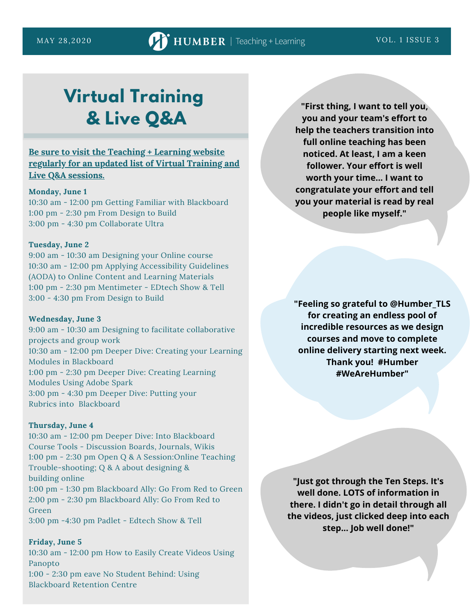# **Virtual Training & Live Q&A**

### **Be sure to visit the [Teaching](https://sites.google.com/view/learningcontinuitykit/home/attend-virtual-training) + Learning website regularly for an updated list of Virtual Training and Live Q&A sessions.**

#### **Monday, June 1**

10:30 am - 12:00 pm Getting Familiar with Blackboard 1:00 pm - 2:30 pm From Design to Build 3:00 pm - 4:30 pm Collaborate Ultra

#### **Tuesday, June 2**

9:00 am - 10:30 am Designing your Online course 10:30 am - 12:00 pm Applying Accessibility Guidelines (AODA) to Online Content and Learning Materials 1:00 pm - 2:30 pm Mentimeter - EDtech Show & Tell 3:00 - 4:30 pm From Design to Build

#### **Wednesday, June 3**

9:00 am - 10:30 am Designing to facilitate collaborative projects and group work 10:30 am - 12:00 pm Deeper Dive: Creating your Learning Modules in Blackboard 1:00 pm - 2:30 pm Deeper Dive: Creating Learning Modules Using Adobe Spark 3:00 pm - 4:30 pm Deeper Dive: Putting your Rubrics into Blackboard

#### **Thursday, June 4**

10:30 am - 12:00 pm Deeper Dive: Into Blackboard Course Tools - Discussion Boards, Journals, Wikis 1:00 pm - 2:30 pm Open Q & A Session:Online Teaching Trouble-shooting; Q & A about designing & building online 1:00 pm - 1:30 pm Blackboard Ally: Go From Red to Green 2:00 pm - 2:30 pm Blackboard Ally: Go From Red to Green 3:00 pm -4:30 pm Padlet - Edtech Show & Tell

#### **Friday, June 5**

10:30 am - 12:00 pm How to Easily Create Videos Using Panopto 1:00 - 2:30 pm eave No Student Behind: Using Blackboard Retention Centre

**"First thing, I want to tell you, you and your team's effort to help the teachers transition into full online teaching has been noticed. At least, I am a keen follower. Your effort is well worth your time... I want to congratulate your effort and tell you your material is read by real people like myself."**

**"Feeling so grateful to @Humber\_TLS for creating an endless pool of incredible resources as we design courses and move to complete online delivery starting next week. Thank you! #Humber #WeAreHumber"**

**"Just got through the Ten Steps. It's well done. LOTS of information in there. I didn't go in detail through all the videos, just clicked deep into each step... Job well done!"**